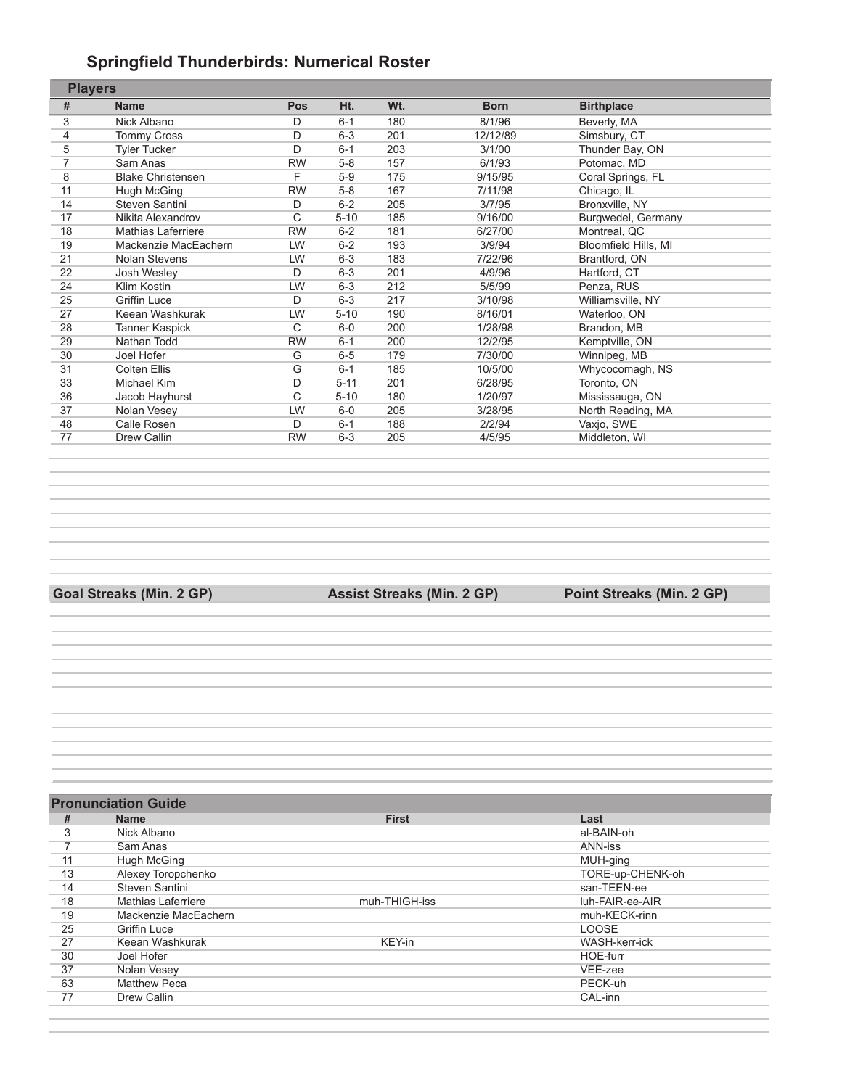#### **Springfield Thunderbirds: Numerical Roster**

| <b>Players</b>            |           |          |     |             |                      |
|---------------------------|-----------|----------|-----|-------------|----------------------|
| <b>Name</b>               | Pos       | Ht.      | Wt. | <b>Born</b> | <b>Birthplace</b>    |
| Nick Albano               | D         | $6 - 1$  | 180 | 8/1/96      | Beverly, MA          |
| <b>Tommy Cross</b>        | D         | $6 - 3$  | 201 | 12/12/89    | Simsbury, CT         |
| <b>Tyler Tucker</b>       | D         | $6 - 1$  | 203 | 3/1/00      | Thunder Bay, ON      |
| Sam Anas                  | <b>RW</b> | $5 - 8$  | 157 | 6/1/93      | Potomac, MD          |
| <b>Blake Christensen</b>  | F         | $5-9$    | 175 | 9/15/95     | Coral Springs, FL    |
| Hugh McGing               | <b>RW</b> | $5 - 8$  | 167 | 7/11/98     | Chicago, IL          |
| Steven Santini            | D         | $6 - 2$  | 205 | 3/7/95      | Bronxville, NY       |
| Nikita Alexandrov         | С         | $5 - 10$ | 185 | 9/16/00     | Burgwedel, Germany   |
| <b>Mathias Laferriere</b> | <b>RW</b> | $6 - 2$  | 181 | 6/27/00     | Montreal, QC         |
| Mackenzie MacEachern      | LW        | $6 - 2$  | 193 | 3/9/94      | Bloomfield Hills, MI |
| Nolan Stevens             | LW        | $6 - 3$  | 183 | 7/22/96     | Brantford, ON        |
| Josh Wesley               | D         | $6 - 3$  | 201 | 4/9/96      | Hartford, CT         |
| Klim Kostin               | LW        | $6 - 3$  | 212 | 5/5/99      | Penza, RUS           |
| <b>Griffin Luce</b>       | D         | $6 - 3$  | 217 | 3/10/98     | Williamsville, NY    |
| Keean Washkurak           | LW        | $5 - 10$ | 190 | 8/16/01     | Waterloo, ON         |
| Tanner Kaspick            | С         | $6-0$    | 200 | 1/28/98     | Brandon, MB          |
| Nathan Todd               | <b>RW</b> | $6 - 1$  | 200 | 12/2/95     | Kemptville, ON       |
| Joel Hofer                | G         | $6-5$    | 179 | 7/30/00     | Winnipeg, MB         |
| <b>Colten Ellis</b>       | G         | $6 - 1$  | 185 | 10/5/00     | Whycocomagh, NS      |
| Michael Kim               | D         | $5 - 11$ | 201 | 6/28/95     | Toronto, ON          |
| Jacob Hayhurst            | С         | $5 - 10$ | 180 | 1/20/97     | Mississauga, ON      |
| Nolan Vesey               | LW        | $6-0$    | 205 | 3/28/95     | North Reading, MA    |
| Calle Rosen               | D         | $6 - 1$  | 188 | 2/2/94      | Vaxjo, SWE           |
| Drew Callin               | <b>RW</b> | $6 - 3$  | 205 | 4/5/95      | Middleton, WI        |
|                           |           |          |     |             |                      |

**Goal Streaks (Min. 2 GP) Assist Streaks (Min. 2 GP) Point Streaks (Min. 2 GP)**

|    | <b>Pronunciation Guide</b> |               |                      |
|----|----------------------------|---------------|----------------------|
| #  | <b>Name</b>                | <b>First</b>  | Last                 |
| 3  | Nick Albano                |               | al-BAIN-oh           |
|    | Sam Anas                   |               | ANN-iss              |
| 11 | Hugh McGing                |               | MUH-ging             |
| 13 | Alexey Toropchenko         |               | TORE-up-CHENK-oh     |
| 14 | Steven Santini             |               | san-TEEN-ee          |
| 18 | <b>Mathias Laferriere</b>  | muh-THIGH-iss | luh-FAIR-ee-AIR      |
| 19 | Mackenzie MacEachern       |               | muh-KECK-rinn        |
| 25 | Griffin Luce               |               | <b>LOOSE</b>         |
| 27 | Keean Washkurak            | KEY-in        | <b>WASH-kerr-ick</b> |
| 30 | Joel Hofer                 |               | HOE-furr             |
| 37 | Nolan Vesey                |               | VEE-zee              |
| 63 | <b>Matthew Peca</b>        |               | PECK-uh              |
| 77 | Drew Callin                |               | CAL-inn              |
|    |                            |               |                      |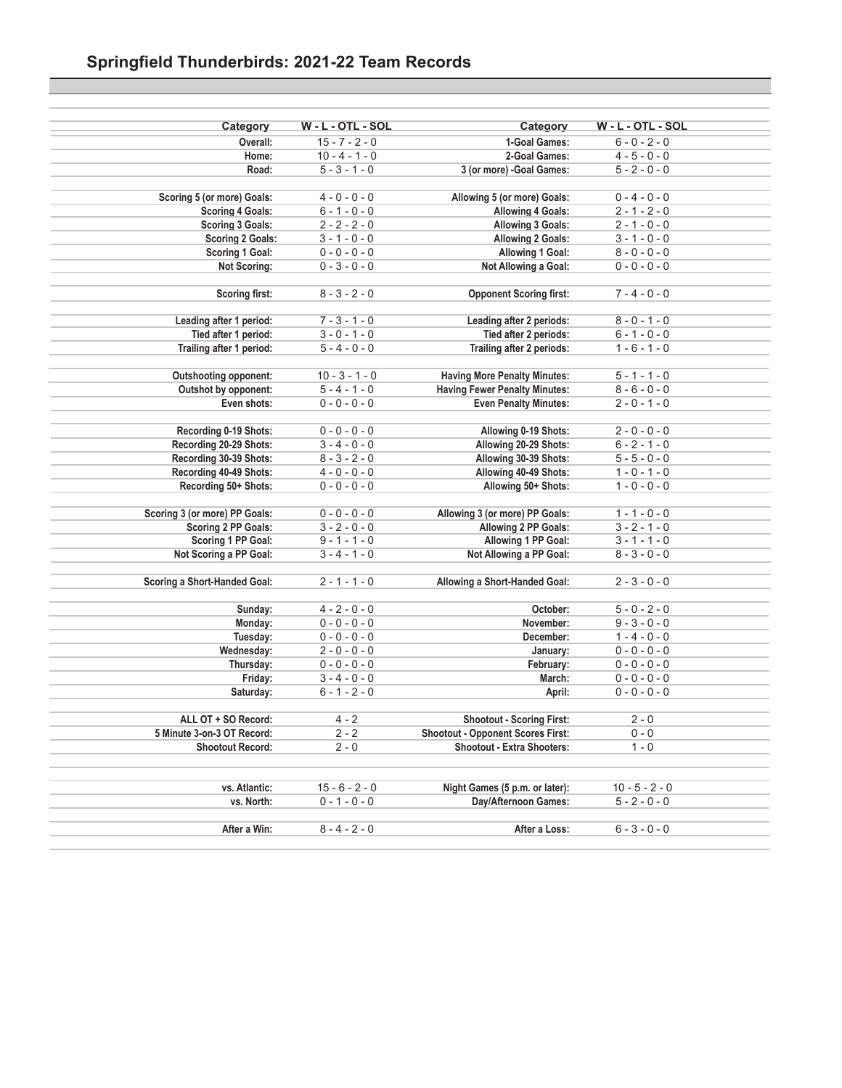| Category                      | W - L - OTL - SOL | Category                                 | W - L - OTL - SOL |
|-------------------------------|-------------------|------------------------------------------|-------------------|
| Overall:                      | $15 - 7 - 2 - 0$  | 1-Goal Games:                            | $6 - 0 - 2 - 0$   |
| Home:                         | $10 - 4 - 1 - 0$  | 2-Goal Games:                            | $4 - 5 - 0 - 0$   |
| Road:                         | $5 - 3 - 1 - 0$   | 3 (or more) -Goal Games:                 | $5 - 2 - 0 - 0$   |
|                               |                   |                                          |                   |
| Scoring 5 (or more) Goals:    | $4 - 0 - 0 - 0$   | Allowing 5 (or more) Goals:              | $0 - 4 - 0 - 0$   |
| <b>Scoring 4 Goals:</b>       | $6 - 1 - 0 - 0$   | <b>Allowing 4 Goals:</b>                 | $2 - 1 - 2 - 0$   |
| <b>Scoring 3 Goals:</b>       | $2 - 2 - 2 - 0$   | Allowing 3 Goals:                        | $2 - 1 - 0 - 0$   |
| <b>Scoring 2 Goals:</b>       | $3 - 1 - 0 - 0$   | <b>Allowing 2 Goals:</b>                 | $3 - 1 - 0 - 0$   |
| Scoring 1 Goal:               | $0 - 0 - 0 - 0$   | Allowing 1 Goal:                         | $8 - 0 - 0 - 0$   |
| <b>Not Scoring:</b>           | $0 - 3 - 0 - 0$   | Not Allowing a Goal:                     | $0 - 0 - 0 - 0$   |
| <b>Scoring first:</b>         | $8 - 3 - 2 - 0$   | <b>Opponent Scoring first:</b>           | $7 - 4 - 0 - 0$   |
|                               |                   |                                          |                   |
| Leading after 1 period:       | $7 - 3 - 1 - 0$   | Leading after 2 periods:                 | $8 - 0 - 1 - 0$   |
| Tied after 1 period:          | $3 - 0 - 1 - 0$   | Tied after 2 periods:                    | $6 - 1 - 0 - 0$   |
| Trailing after 1 period:      | $5 - 4 - 0 - 0$   | Trailing after 2 periods:                | $1 - 6 - 1 - 0$   |
| <b>Outshooting opponent:</b>  | $10 - 3 - 1 - 0$  | <b>Having More Penalty Minutes:</b>      | $5 - 1 - 1 - 0$   |
| Outshot by opponent:          | $5 - 4 - 1 - 0$   | <b>Having Fewer Penalty Minutes:</b>     | $8 - 6 - 0 - 0$   |
| Even shots:                   | $0 - 0 - 0 - 0$   | <b>Even Penalty Minutes:</b>             | $2 - 0 - 1 - 0$   |
|                               |                   |                                          |                   |
| Recording 0-19 Shots:         | $0 - 0 - 0 - 0$   | Allowing 0-19 Shots:                     | $2 - 0 - 0 - 0$   |
| Recording 20-29 Shots:        | $3 - 4 - 0 - 0$   | Allowing 20-29 Shots:                    | $6 - 2 - 1 - 0$   |
| Recording 30-39 Shots:        | $8 - 3 - 2 - 0$   | Allowing 30-39 Shots:                    | $5 - 5 - 0 - 0$   |
| Recording 40-49 Shots:        | $4 - 0 - 0 - 0$   | Allowing 40-49 Shots:                    | $1 - 0 - 1 - 0$   |
| Recording 50+ Shots:          | $0 - 0 - 0 - 0$   | Allowing 50+ Shots:                      | $1 - 0 - 0 - 0$   |
|                               |                   |                                          |                   |
| Scoring 3 (or more) PP Goals: | $0 - 0 - 0 - 0$   | Allowing 3 (or more) PP Goals:           | $1 - 1 - 0 - 0$   |
| Scoring 2 PP Goals:           | $3 - 2 - 0 - 0$   | Allowing 2 PP Goals:                     | $3 - 2 - 1 - 0$   |
| Scoring 1 PP Goal:            | $9 - 1 - 1 - 0$   | Allowing 1 PP Goal:                      | $3 - 1 - 1 - 0$   |
| Not Scoring a PP Goal:        | $3 - 4 - 1 - 0$   | Not Allowing a PP Goal:                  | $8 - 3 - 0 - 0$   |
| Scoring a Short-Handed Goal:  | $2 - 1 - 1 - 0$   | Allowing a Short-Handed Goal:            | $2 - 3 - 0 - 0$   |
|                               |                   |                                          |                   |
| Sunday:                       | $4 - 2 - 0 - 0$   | October:                                 | $5 - 0 - 2 - 0$   |
| Monday:                       | $0 - 0 - 0 - 0$   | November:                                | $9 - 3 - 0 - 0$   |
| Tuesday:                      | $0 - 0 - 0 - 0$   | December:                                | $1 - 4 - 0 - 0$   |
| Wednesday:                    | $2 - 0 - 0 - 0$   | January:                                 | $0 - 0 - 0 - 0$   |
| Thursday:                     | $0 - 0 - 0 - 0$   | February:                                | $0 - 0 - 0 - 0$   |
| Friday:                       | $3 - 4 - 0 - 0$   | March:                                   | $0 - 0 - 0 - 0$   |
| Saturday:                     | $6 - 1 - 2 - 0$   | April:                                   | $0 - 0 - 0 - 0$   |
| ALL OT + SO Record:           | $4 - 2$           | <b>Shootout - Scoring First:</b>         | $2 - 0$           |
| 5 Minute 3-on-3 OT Record:    | $2 - 2$           | <b>Shootout - Opponent Scores First:</b> | $0 - 0$           |
| <b>Shootout Record:</b>       | $2 - 0$           | <b>Shootout - Extra Shooters:</b>        | $1 - 0$           |
|                               |                   |                                          |                   |
|                               |                   |                                          |                   |
| vs. Atlantic:                 | $15 - 6 - 2 - 0$  | Night Games (5 p.m. or later):           | $10 - 5 - 2 - 0$  |
| vs. North:                    | $0 - 1 - 0 - 0$   | Day/Afternoon Games:                     | $5 - 2 - 0 - 0$   |
| After a Win:                  | $8 - 4 - 2 - 0$   | After a Loss:                            | $6 - 3 - 0 - 0$   |
|                               |                   |                                          |                   |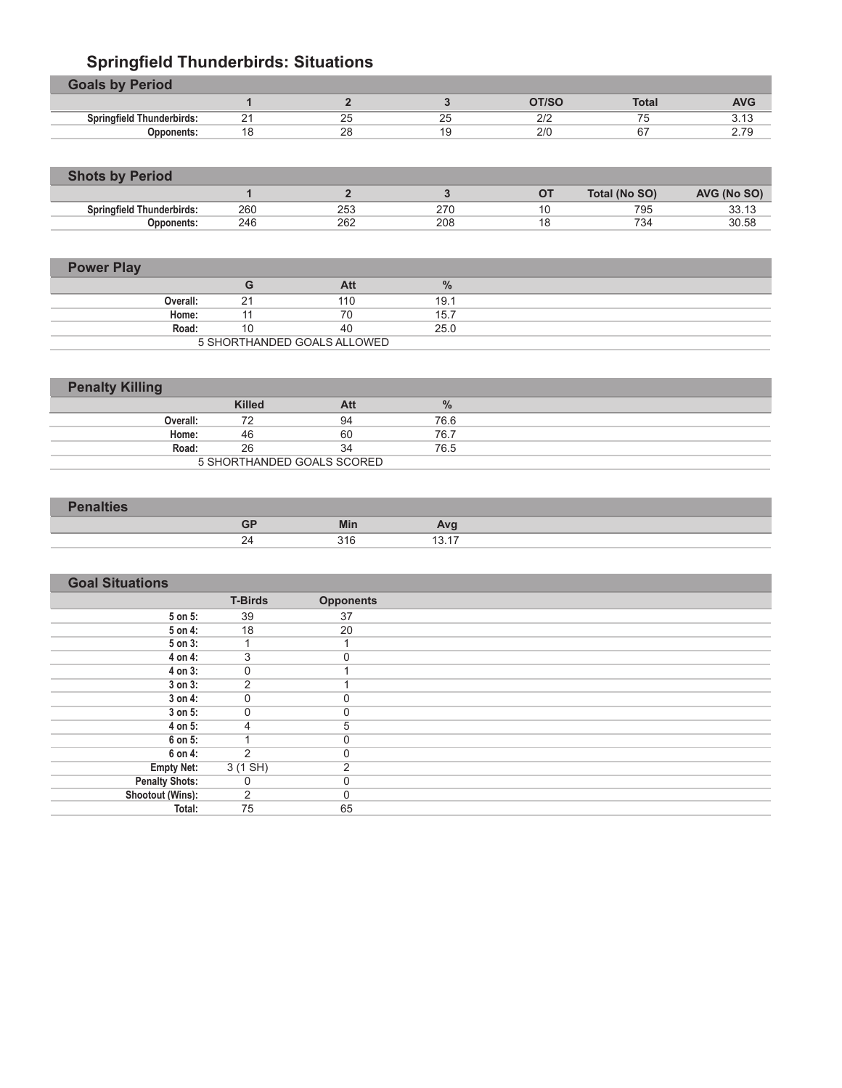# **Springfield Thunderbirds: Situations**

| <b>Goals by Period</b>           |          |              |              |             |              |            |
|----------------------------------|----------|--------------|--------------|-------------|--------------|------------|
|                                  |          |              |              | OT/SC       | <b>Total</b> | <b>AVG</b> |
| <b>Springfield Thunderbirds:</b> | <u>_</u> | $\sim$<br>∠ວ | $\sim$<br>∠∪ | רו ר<br>داے | --           | ن ۱ ت      |
| Opponents:                       | 18       | 28           |              | 2/0         | 67           | 2.79       |

| <b>Shots by Period</b>           |     |     |     |               |             |
|----------------------------------|-----|-----|-----|---------------|-------------|
|                                  |     |     |     | Total (No SO) | AVG (No SO) |
| <b>Springfield Thunderbirds:</b> | 260 | 253 | 270 | 795           | 33.13       |
| <b>Opponents:</b>                | 246 | 262 | 208 | 734           | 30.58       |

| <b>Power Play</b> |          |    |                             |               |  |
|-------------------|----------|----|-----------------------------|---------------|--|
|                   |          | G  | Att                         | $\frac{9}{6}$ |  |
|                   | Overall: | 21 | 110                         | 19.1          |  |
|                   | Home:    | 11 | 70                          | 15.7          |  |
|                   | Road:    | 10 | 40                          | 25.0          |  |
|                   |          |    | 5 SHORTHANDED GOALS ALLOWED |               |  |

| <b>Penalty Killing</b> |               |                            |               |  |
|------------------------|---------------|----------------------------|---------------|--|
|                        | <b>Killed</b> | Att                        | $\frac{9}{6}$ |  |
| Overall:               | 72            | 94                         | 76.6          |  |
| Home:                  | 46            | 60                         | 76.7          |  |
| Road:                  | 26            | 34                         | 76.5          |  |
|                        |               | 5 SHORTHANDED GOALS SCORED |               |  |

| <b>Contact Address of the Contact Office</b><br>$\sim$ |             |     |                         |  |
|--------------------------------------------------------|-------------|-----|-------------------------|--|
|                                                        | GF          | Min | $-$<br><b>AVE</b>       |  |
|                                                        | -<br>∼<br>- | 316 | $\rightarrow$<br>-<br>. |  |

| <b>Goal Situations</b> |                |                  |  |
|------------------------|----------------|------------------|--|
|                        | <b>T-Birds</b> | <b>Opponents</b> |  |
| $5$ on $5$ :           | 39             | 37               |  |
| 5 on 4:                | 18             | 20               |  |
| 5 on 3:                |                |                  |  |
| 4 on 4:                | 3              | 0                |  |
| 4 on 3:                | $\mathbf 0$    |                  |  |
| $3$ on $3$ :           | $\overline{2}$ |                  |  |
| $3$ on $4$ :           | $\mathbf 0$    | 0                |  |
| $3$ on $5$ :           | 0              | 0                |  |
| 4 on 5:                | 4              | 5                |  |
| 6 on 5:                |                | $\overline{0}$   |  |
| 6 on 4:                | っ              | 0                |  |
| <b>Empty Net:</b>      | 3(1 SH)        | $\overline{2}$   |  |
| <b>Penalty Shots:</b>  | $\mathbf 0$    | $\mathbf 0$      |  |
| Shootout (Wins):       | $\overline{2}$ | $\mathbf 0$      |  |
| Total:                 | 75             | 65               |  |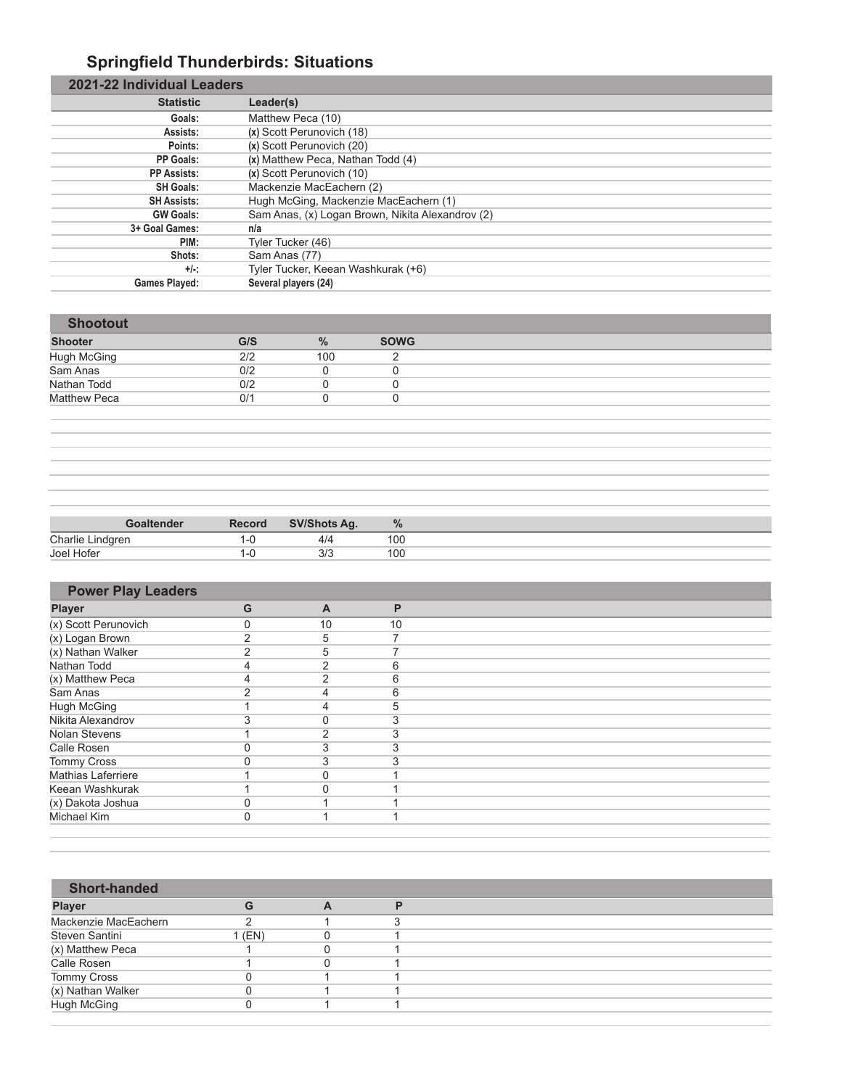# **Springfield Thunderbirds: Situations**

| 2021-22 Individual Leaders |                                                  |
|----------------------------|--------------------------------------------------|
| <b>Statistic</b>           | Leader(s)                                        |
| Goals:                     | Matthew Peca (10)                                |
| Assists:                   | (x) Scott Perunovich (18)                        |
| Points:                    | (x) Scott Perunovich (20)                        |
| PP Goals:                  | (x) Matthew Peca, Nathan Todd (4)                |
| <b>PP Assists:</b>         | (x) Scott Perunovich (10)                        |
| <b>SH Goals:</b>           | Mackenzie MacEachern (2)                         |
| <b>SH Assists:</b>         | Hugh McGing, Mackenzie MacEachern (1)            |
| <b>GW Goals:</b>           | Sam Anas, (x) Logan Brown, Nikita Alexandrov (2) |
| 3+ Goal Games:             | n/a                                              |
| PIM:                       | Tyler Tucker (46)                                |
| Shots:                     | Sam Anas (77)                                    |
| $+/-$ :                    | Tyler Tucker, Keean Washkurak (+6)               |
| <b>Games Played:</b>       | Several players (24)                             |

| <b>Shootout</b>     |     |               |             |
|---------------------|-----|---------------|-------------|
| <b>Shooter</b>      | G/S | $\frac{0}{0}$ | <b>SOWG</b> |
| Hugh McGing         | 2/2 | 100           |             |
| Sam Anas            | 0/2 |               |             |
| Nathan Todd         | 0/2 |               |             |
| <b>Matthew Peca</b> | 0/1 |               |             |

|                  | Goaltender | Record | <b>SV/Shots Ag.</b> | $\frac{9}{6}$ |
|------------------|------------|--------|---------------------|---------------|
| Charlie Lindgren |            |        | 4/4                 | 100           |
| Joel Hofer       |            |        | 3/3                 | 100           |

| <b>Power Play Leaders</b> |   |                |    |
|---------------------------|---|----------------|----|
| <b>Player</b>             | G | $\overline{A}$ | Р  |
| (x) Scott Perunovich      | 0 | 10             | 10 |
| (x) Logan Brown           | 2 | 5              |    |
| (x) Nathan Walker         | 2 | 5              |    |
| Nathan Todd               | 4 | 2              | 6  |
| (x) Matthew Peca          | 4 | っ              | 6  |
| Sam Anas                  | ົ | 4              | 6  |
| Hugh McGing               |   | 4              | 5  |
| Nikita Alexandrov         | 3 | $\Omega$       |    |
| Nolan Stevens             |   | 2              |    |
| Calle Rosen               |   | 3              |    |
| <b>Tommy Cross</b>        | C | 3              |    |
| <b>Mathias Laferriere</b> |   | C              |    |
| Keean Washkurak           |   |                |    |
| (x) Dakota Joshua         | 0 |                |    |
| Michael Kim               | 0 |                |    |

| <b>Short-handed</b>  |        |   |  |
|----------------------|--------|---|--|
| <b>Player</b>        | G      | A |  |
| Mackenzie MacEachern |        |   |  |
| Steven Santini       | 1 (EN) |   |  |
| (x) Matthew Peca     |        |   |  |
| Calle Rosen          |        |   |  |
| Tommy Cross          |        |   |  |
| (x) Nathan Walker    |        |   |  |
| <b>Hugh McGing</b>   |        |   |  |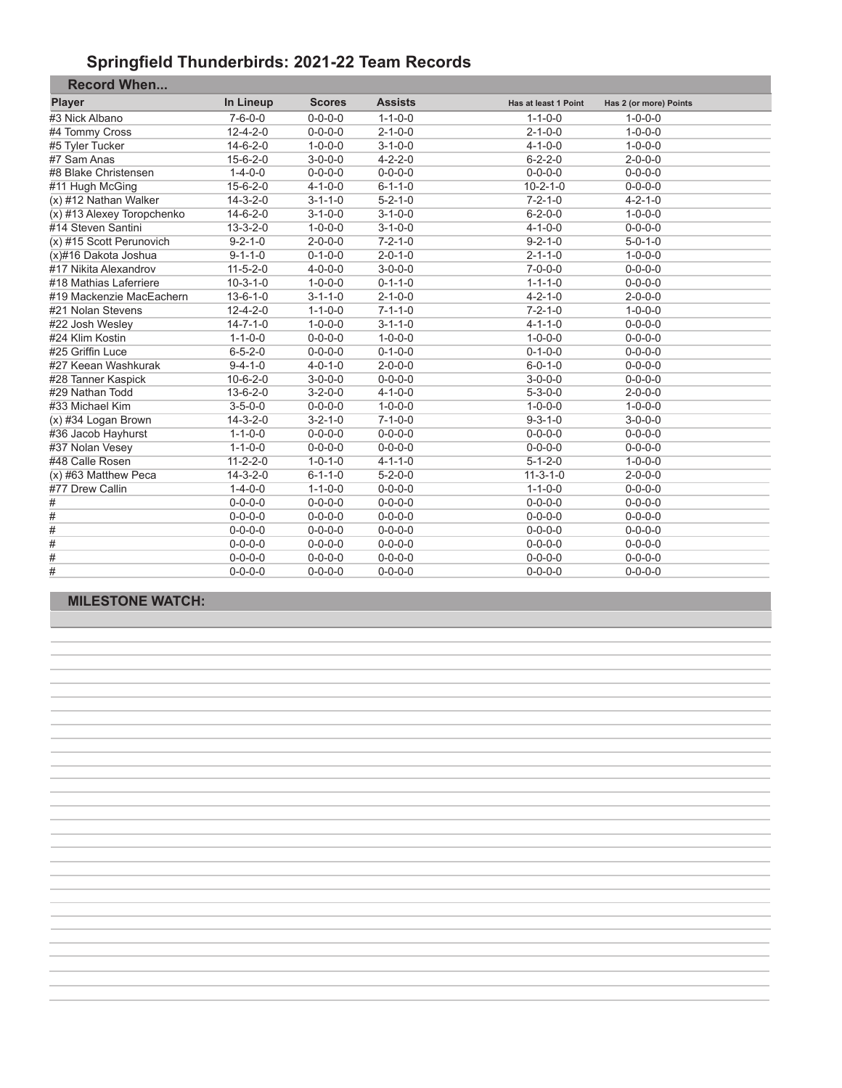#### **Springfield Thunderbirds: 2021-22 Team Records**

| <b>Record When</b>         |                  |                 |                 |                      |                        |  |
|----------------------------|------------------|-----------------|-----------------|----------------------|------------------------|--|
| <b>Player</b>              | In Lineup        | <b>Scores</b>   | <b>Assists</b>  | Has at least 1 Point | Has 2 (or more) Points |  |
| #3 Nick Albano             | $7 - 6 - 0 - 0$  | $0 - 0 - 0 - 0$ | $1 - 1 - 0 - 0$ | $1 - 1 - 0 - 0$      | $1 - 0 - 0 - 0$        |  |
| #4 Tommy Cross             | $12 - 4 - 2 - 0$ | $0 - 0 - 0 - 0$ | $2 - 1 - 0 - 0$ | $2 - 1 - 0 - 0$      | $1 - 0 - 0 - 0$        |  |
| #5 Tyler Tucker            | $14 - 6 - 2 - 0$ | $1 - 0 - 0 - 0$ | $3 - 1 - 0 - 0$ | $4 - 1 - 0 - 0$      | $1 - 0 - 0 - 0$        |  |
| #7 Sam Anas                | $15 - 6 - 2 - 0$ | $3 - 0 - 0 - 0$ | $4 - 2 - 2 - 0$ | $6 - 2 - 2 - 0$      | $2 - 0 - 0 - 0$        |  |
| #8 Blake Christensen       | $1 - 4 - 0 - 0$  | $0 - 0 - 0 - 0$ | $0 - 0 - 0 - 0$ | $0 - 0 - 0 - 0$      | $0 - 0 - 0 - 0$        |  |
| #11 Hugh McGing            | $15 - 6 - 2 - 0$ | $4 - 1 - 0 - 0$ | $6 - 1 - 1 - 0$ | $10 - 2 - 1 - 0$     | $0 - 0 - 0 - 0$        |  |
| (x) #12 Nathan Walker      | $14 - 3 - 2 - 0$ | $3 - 1 - 1 - 0$ | $5 - 2 - 1 - 0$ | $7 - 2 - 1 - 0$      | $4 - 2 - 1 - 0$        |  |
| (x) #13 Alexey Toropchenko | $14 - 6 - 2 - 0$ | $3 - 1 - 0 - 0$ | $3 - 1 - 0 - 0$ | $6 - 2 - 0 - 0$      | $1 - 0 - 0 - 0$        |  |
| #14 Steven Santini         | $13 - 3 - 2 - 0$ | $1 - 0 - 0 - 0$ | $3 - 1 - 0 - 0$ | $4 - 1 - 0 - 0$      | $0 - 0 - 0 - 0$        |  |
| (x) #15 Scott Perunovich   | $9 - 2 - 1 - 0$  | $2 - 0 - 0 - 0$ | $7 - 2 - 1 - 0$ | $9 - 2 - 1 - 0$      | $5 - 0 - 1 - 0$        |  |
| (x)#16 Dakota Joshua       | $9 - 1 - 1 - 0$  | $0 - 1 - 0 - 0$ | $2 - 0 - 1 - 0$ | $2 - 1 - 1 - 0$      | $1 - 0 - 0 - 0$        |  |
| #17 Nikita Alexandrov      | $11 - 5 - 2 - 0$ | $4 - 0 - 0 - 0$ | $3 - 0 - 0 - 0$ | $7 - 0 - 0 - 0$      | $0 - 0 - 0 - 0$        |  |
| #18 Mathias Laferriere     | $10-3-1-0$       | $1 - 0 - 0 - 0$ | $0 - 1 - 1 - 0$ | $1 - 1 - 1 - 0$      | $0 - 0 - 0 - 0$        |  |
| #19 Mackenzie MacEachern   | $13 - 6 - 1 - 0$ | $3 - 1 - 1 - 0$ | $2 - 1 - 0 - 0$ | $4 - 2 - 1 - 0$      | $2 - 0 - 0 - 0$        |  |
| #21 Nolan Stevens          | $12 - 4 - 2 - 0$ | $1 - 1 - 0 - 0$ | $7 - 1 - 1 - 0$ | $7 - 2 - 1 - 0$      | $1 - 0 - 0 - 0$        |  |
| #22 Josh Wesley            | $14 - 7 - 1 - 0$ | $1 - 0 - 0 - 0$ | $3 - 1 - 1 - 0$ | $4 - 1 - 1 - 0$      | $0 - 0 - 0 - 0$        |  |
| #24 Klim Kostin            | $1 - 1 - 0 - 0$  | $0 - 0 - 0 - 0$ | $1 - 0 - 0 - 0$ | $1 - 0 - 0 - 0$      | $0 - 0 - 0 - 0$        |  |
| #25 Griffin Luce           | $6 - 5 - 2 - 0$  | $0 - 0 - 0 - 0$ | $0 - 1 - 0 - 0$ | $0 - 1 - 0 - 0$      | $0 - 0 - 0 - 0$        |  |
| #27 Keean Washkurak        | $9 - 4 - 1 - 0$  | $4 - 0 - 1 - 0$ | $2 - 0 - 0 - 0$ | $6 - 0 - 1 - 0$      | $0 - 0 - 0 - 0$        |  |
| #28 Tanner Kaspick         | $10-6-2-0$       | $3 - 0 - 0 - 0$ | $0 - 0 - 0 - 0$ | $3 - 0 - 0 - 0$      | $0 - 0 - 0 - 0$        |  |
| #29 Nathan Todd            | $13-6-2-0$       | $3 - 2 - 0 - 0$ | $4 - 1 - 0 - 0$ | $5 - 3 - 0 - 0$      | $2 - 0 - 0 - 0$        |  |
| #33 Michael Kim            | $3 - 5 - 0 - 0$  | $0 - 0 - 0 - 0$ | $1 - 0 - 0 - 0$ | $1 - 0 - 0 - 0$      | $1 - 0 - 0 - 0$        |  |
| $(x)$ #34 Logan Brown      | $14 - 3 - 2 - 0$ | $3 - 2 - 1 - 0$ | $7 - 1 - 0 - 0$ | $9 - 3 - 1 - 0$      | $3 - 0 - 0 - 0$        |  |
| #36 Jacob Hayhurst         | $1 - 1 - 0 - 0$  | $0 - 0 - 0 - 0$ | $0 - 0 - 0 - 0$ | $0 - 0 - 0 - 0$      | $0 - 0 - 0 - 0$        |  |
| #37 Nolan Vesey            | $1 - 1 - 0 - 0$  | $0 - 0 - 0 - 0$ | $0 - 0 - 0 - 0$ | $0 - 0 - 0 - 0$      | $0 - 0 - 0 - 0$        |  |
| #48 Calle Rosen            | $11 - 2 - 2 - 0$ | $1 - 0 - 1 - 0$ | $4 - 1 - 1 - 0$ | $5 - 1 - 2 - 0$      | $1 - 0 - 0 - 0$        |  |
| (x) #63 Matthew Peca       | $14 - 3 - 2 - 0$ | $6 - 1 - 1 - 0$ | $5 - 2 - 0 - 0$ | $11 - 3 - 1 - 0$     | $2 - 0 - 0 - 0$        |  |
| #77 Drew Callin            | $1 - 4 - 0 - 0$  | $1 - 1 - 0 - 0$ | $0 - 0 - 0 - 0$ | $1 - 1 - 0 - 0$      | $0 - 0 - 0 - 0$        |  |
| #                          | $0 - 0 - 0 - 0$  | $0 - 0 - 0 - 0$ | $0 - 0 - 0 - 0$ | $0 - 0 - 0 - 0$      | $0 - 0 - 0 - 0$        |  |
| #                          | $0 - 0 - 0 - 0$  | $0 - 0 - 0 - 0$ | $0 - 0 - 0 - 0$ | $0 - 0 - 0 - 0$      | $0 - 0 - 0 - 0$        |  |
| #                          | $0 - 0 - 0 - 0$  | $0 - 0 - 0 - 0$ | $0 - 0 - 0 - 0$ | $0 - 0 - 0 - 0$      | $0 - 0 - 0 - 0$        |  |
| #                          | $0 - 0 - 0 - 0$  | $0 - 0 - 0 - 0$ | $0 - 0 - 0 - 0$ | $0 - 0 - 0 - 0$      | $0 - 0 - 0 - 0$        |  |
| #                          | $0 - 0 - 0 - 0$  | $0 - 0 - 0 - 0$ | $0 - 0 - 0 - 0$ | $0 - 0 - 0 - 0$      | $0 - 0 - 0 - 0$        |  |
| #                          | $0 - 0 - 0 - 0$  | $0 - 0 - 0 - 0$ | $0 - 0 - 0 - 0$ | $0 - 0 - 0 - 0$      | $0 - 0 - 0 - 0$        |  |

#### **MILESTONE WATCH:**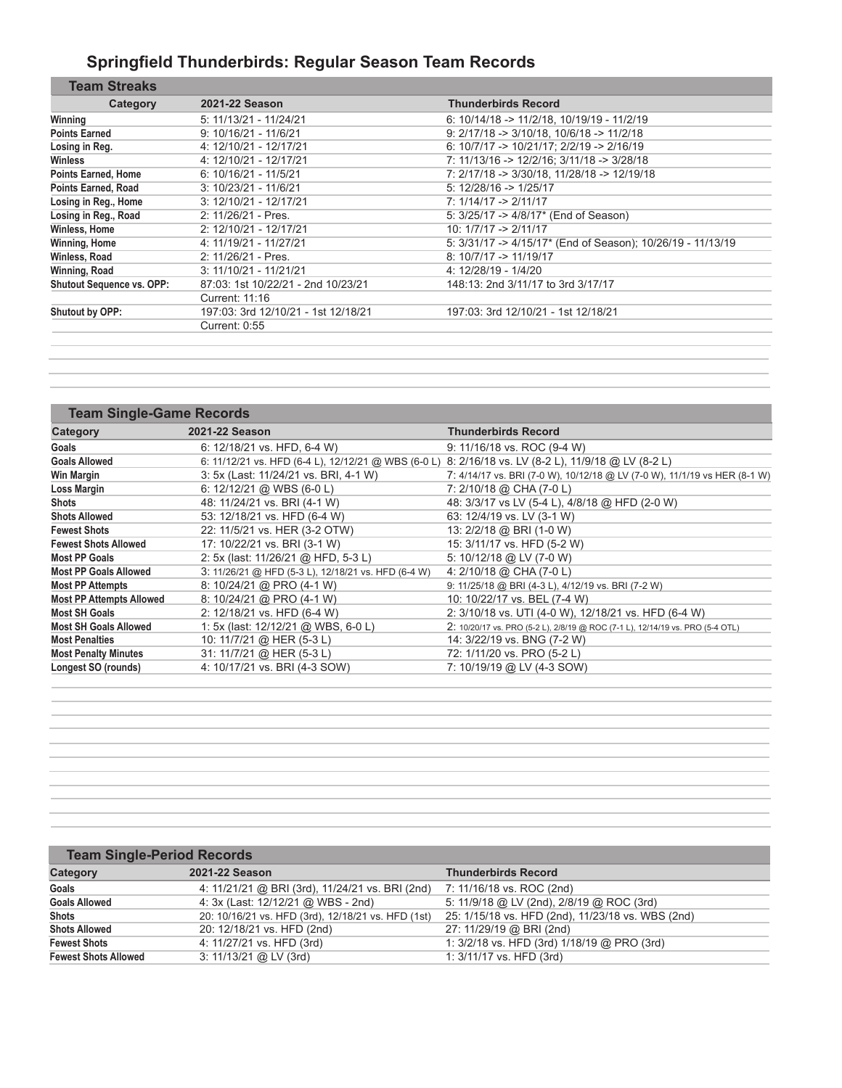# **Springfield Thunderbirds: Regular Season Team Records**

| Category                         | 2021-22 Season                      | <b>Thunderbirds Record</b>                                    |
|----------------------------------|-------------------------------------|---------------------------------------------------------------|
| Winning                          | 5: 11/13/21 - 11/24/21              | 6: $10/14/18 \rightarrow 11/2/18$ , $10/19/19 \cdot 11/2/19$  |
| <b>Points Earned</b>             | $9: 10/16/21 - 11/6/21$             | $9: 2/17/18 \rightarrow 3/10/18, 10/6/18 \rightarrow 11/2/18$ |
| Losing in Reg.                   | 4: 12/10/21 - 12/17/21              | 6: $10/7/17$ -> $10/21/17$ ; $2/2/19$ -> $2/16/19$            |
| Winless                          | 4: 12/10/21 - 12/17/21              | 7: 11/13/16 -> 12/2/16; 3/11/18 -> 3/28/18                    |
| <b>Points Earned, Home</b>       | $6: 10/16/21 - 11/5/21$             | 7: 2/17/18 -> 3/30/18, 11/28/18 -> 12/19/18                   |
| Points Earned, Road              | $3: 10/23/21 - 11/6/21$             | $5: 12/28/16 \rightarrow 1/25/17$                             |
| Losing in Reg., Home             | 3: 12/10/21 - 12/17/21              | $7: 1/14/17 \rightarrow 2/11/17$                              |
| Losing in Reg., Road             | 2: 11/26/21 - Pres.                 | 5: 3/25/17 -> 4/8/17* (End of Season)                         |
| Winless, Home                    | 2: 12/10/21 - 12/17/21              | $10: 1/7/17 \rightarrow 2/11/17$                              |
| Winning, Home                    | 4: 11/19/21 - 11/27/21              | 5: 3/31/17 -> 4/15/17* (End of Season); 10/26/19 - 11/13/19   |
| Winless, Road                    | 2: 11/26/21 - Pres.                 | $8:10/7/17 \rightarrow 11/19/17$                              |
| Winning, Road                    | $3: 11/10/21 - 11/21/21$            | 4: 12/28/19 - 1/4/20                                          |
| <b>Shutout Sequence vs. OPP:</b> | 87:03: 1st 10/22/21 - 2nd 10/23/21  | 148:13: 2nd 3/11/17 to 3rd 3/17/17                            |
|                                  | Current: 11:16                      |                                                               |
| Shutout by OPP:                  | 197:03: 3rd 12/10/21 - 1st 12/18/21 | 197:03: 3rd 12/10/21 - 1st 12/18/21                           |
|                                  | Current: 0:55                       |                                                               |

| <b>Team Single-Game Records</b> |                                                                                                     |                                                                               |
|---------------------------------|-----------------------------------------------------------------------------------------------------|-------------------------------------------------------------------------------|
| Category                        | 2021-22 Season                                                                                      | <b>Thunderbirds Record</b>                                                    |
| Goals                           | 6: 12/18/21 vs. HFD, 6-4 W)                                                                         | 9: 11/16/18 vs. ROC (9-4 W)                                                   |
| <b>Goals Allowed</b>            | 6: 11/12/21 vs. HFD (6-4 L), 12/12/21 @ WBS (6-0 L) 8: 2/16/18 vs. LV (8-2 L), 11/9/18 @ LV (8-2 L) |                                                                               |
| <b>Win Margin</b>               | 3: 5x (Last: 11/24/21 vs. BRI, 4-1 W)                                                               | 7: 4/14/17 vs. BRI (7-0 W), 10/12/18 @ LV (7-0 W), 11/1/19 vs HER (8-1 W)     |
| Loss Margin                     | 6: $12/12/21$ @ WBS (6-0 L)                                                                         | 7: 2/10/18 @ CHA (7-0 L)                                                      |
| <b>Shots</b>                    | 48: 11/24/21 vs. BRI (4-1 W)                                                                        | 48: 3/3/17 vs LV (5-4 L), 4/8/18 @ HFD (2-0 W)                                |
| <b>Shots Allowed</b>            | 53: 12/18/21 vs. HFD (6-4 W)                                                                        | 63: 12/4/19 vs. LV (3-1 W)                                                    |
| <b>Fewest Shots</b>             | 22: 11/5/21 vs. HER (3-2 OTW)                                                                       | 13: 2/2/18 @ BRI (1-0 W)                                                      |
| <b>Fewest Shots Allowed</b>     | 17: 10/22/21 vs. BRI (3-1 W)                                                                        | 15: 3/11/17 vs. HFD (5-2 W)                                                   |
| <b>Most PP Goals</b>            | 2: 5x (last: 11/26/21 @ HFD, 5-3 L)                                                                 | 5: 10/12/18 @ LV (7-0 W)                                                      |
| <b>Most PP Goals Allowed</b>    | 3: 11/26/21 @ HFD (5-3 L), 12/18/21 vs. HFD (6-4 W)                                                 | 4: 2/10/18 @ CHA (7-0 L)                                                      |
| <b>Most PP Attempts</b>         | 8: 10/24/21 @ PRO (4-1 W)                                                                           | 9: 11/25/18 @ BRI (4-3 L), 4/12/19 vs. BRI (7-2 W)                            |
| <b>Most PP Attempts Allowed</b> | 8: 10/24/21 @ PRO (4-1 W)                                                                           | 10: 10/22/17 vs. BEL (7-4 W)                                                  |
| <b>Most SH Goals</b>            | 2: 12/18/21 vs. HFD (6-4 W)                                                                         | 2: 3/10/18 vs. UTI (4-0 W), 12/18/21 vs. HFD (6-4 W)                          |
| <b>Most SH Goals Allowed</b>    | 1: 5x (last: 12/12/21 @ WBS, 6-0 L)                                                                 | 2: 10/20/17 vs. PRO (5-2 L), 2/8/19 @ ROC (7-1 L), 12/14/19 vs. PRO (5-4 OTL) |
| <b>Most Penalties</b>           | 10: 11/7/21 @ HER (5-3 L)                                                                           | 14: 3/22/19 vs. BNG (7-2 W)                                                   |
| <b>Most Penalty Minutes</b>     | 31: 11/7/21 @ HER (5-3 L)                                                                           | 72: 1/11/20 vs. PRO (5-2 L)                                                   |
| Longest SO (rounds)             | 4: 10/17/21 vs. BRI (4-3 SOW)                                                                       | 7: 10/19/19 @ LV (4-3 SOW)                                                    |
|                                 |                                                                                                     |                                                                               |

| <b>Team Single-Period Records</b> |                                                    |                                                   |
|-----------------------------------|----------------------------------------------------|---------------------------------------------------|
| Category                          | 2021-22 Season                                     | <b>Thunderbirds Record</b>                        |
| Goals                             | 4: 11/21/21 @ BRI (3rd), 11/24/21 vs. BRI (2nd)    | 7: 11/16/18 vs. ROC (2nd)                         |
| <b>Goals Allowed</b>              | 4: 3x (Last: 12/12/21 @ WBS - 2nd)                 | 5: 11/9/18 @ LV (2nd), 2/8/19 @ ROC (3rd)         |
| <b>Shots</b>                      | 20: 10/16/21 vs. HFD (3rd), 12/18/21 vs. HFD (1st) | 25: 1/15/18 vs. HFD (2nd), 11/23/18 vs. WBS (2nd) |
| <b>Shots Allowed</b>              | 20: 12/18/21 vs. HFD (2nd)                         | 27: 11/29/19 @ BRI (2nd)                          |
| <b>Fewest Shots</b>               | 4: 11/27/21 vs. HFD (3rd)                          | 1: 3/2/18 vs. HFD (3rd) 1/18/19 @ PRO (3rd)       |
| <b>Fewest Shots Allowed</b>       | $3: 11/13/21$ @ LV (3rd)                           | 1: 3/11/17 vs. HFD (3rd)                          |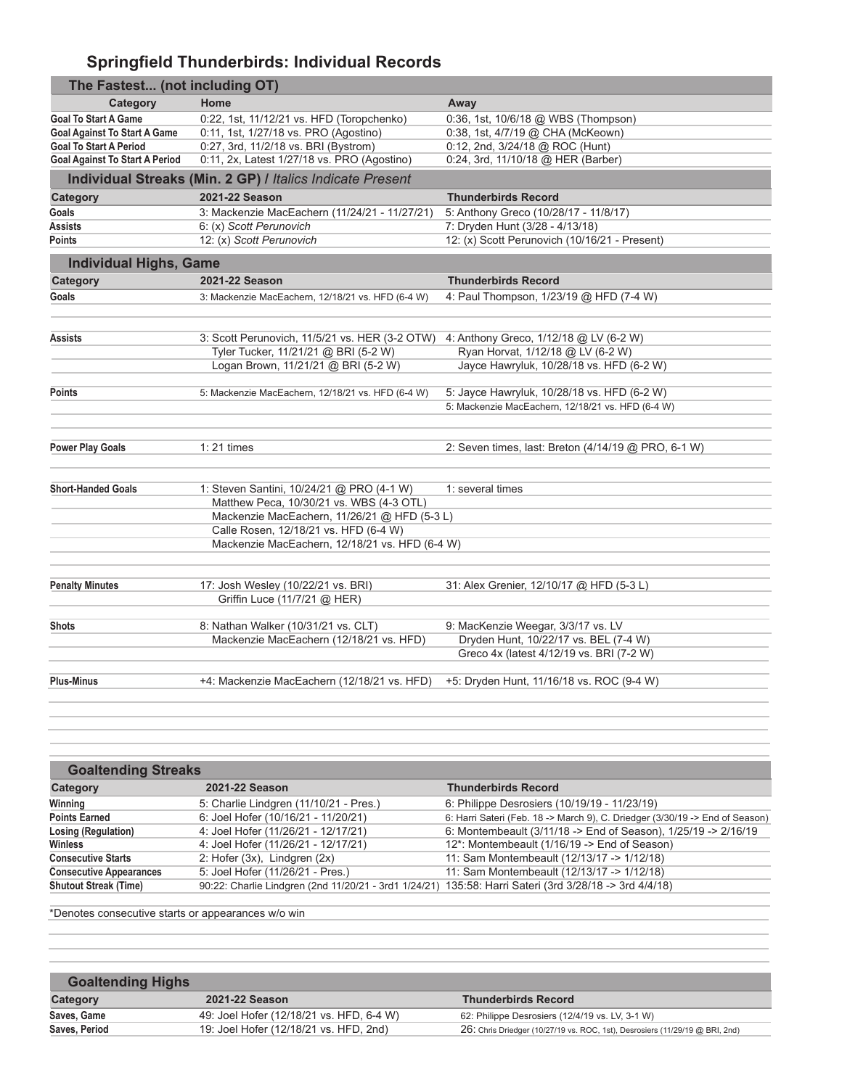# **Springfield Thunderbirds: Individual Records**

| The Fastest (not including OT)        |                                                           |                                                     |
|---------------------------------------|-----------------------------------------------------------|-----------------------------------------------------|
| Category                              | Home                                                      | Away                                                |
| <b>Goal To Start A Game</b>           | 0:22, 1st, 11/12/21 vs. HFD (Toropchenko)                 | 0:36, 1st, 10/6/18 @ WBS (Thompson)                 |
| <b>Goal Against To Start A Game</b>   | 0:11, 1st, 1/27/18 vs. PRO (Agostino)                     | 0:38, 1st, 4/7/19 @ CHA (McKeown)                   |
| <b>Goal To Start A Period</b>         | 0:27, 3rd, 11/2/18 vs. BRI (Bystrom)                      | 0:12, 2nd, 3/24/18 @ ROC (Hunt)                     |
| <b>Goal Against To Start A Period</b> | 0:11, 2x, Latest 1/27/18 vs. PRO (Agostino)               | 0:24, 3rd, 11/10/18 @ HER (Barber)                  |
|                                       | Individual Streaks (Min. 2 GP) / Italics Indicate Present |                                                     |
| Category                              | 2021-22 Season                                            | <b>Thunderbirds Record</b>                          |
| Goals                                 | 3: Mackenzie MacEachern (11/24/21 - 11/27/21)             | 5: Anthony Greco (10/28/17 - 11/8/17)               |
| Assists                               | 6: (x) Scott Perunovich                                   | 7: Dryden Hunt (3/28 - 4/13/18)                     |
| Points                                | 12: (x) Scott Perunovich                                  | 12: (x) Scott Perunovich (10/16/21 - Present)       |
| <b>Individual Highs, Game</b>         |                                                           |                                                     |
| Category                              | 2021-22 Season                                            | <b>Thunderbirds Record</b>                          |
| Goals                                 | 3: Mackenzie MacEachern, 12/18/21 vs. HFD (6-4 W)         | 4: Paul Thompson, 1/23/19 @ HFD (7-4 W)             |
|                                       |                                                           |                                                     |
|                                       |                                                           |                                                     |
| Assists                               | 3: Scott Perunovich, 11/5/21 vs. HER (3-2 OTW)            | 4: Anthony Greco, 1/12/18 @ LV (6-2 W)              |
|                                       | Tyler Tucker, 11/21/21 @ BRI (5-2 W)                      | Ryan Horvat, 1/12/18 @ LV (6-2 W)                   |
|                                       | Logan Brown, 11/21/21 @ BRI (5-2 W)                       | Jayce Hawryluk, 10/28/18 vs. HFD (6-2 W)            |
| Points                                | 5: Mackenzie MacEachern, 12/18/21 vs. HFD (6-4 W)         | 5: Jayce Hawryluk, 10/28/18 vs. HFD (6-2 W)         |
|                                       |                                                           | 5: Mackenzie MacEachern, 12/18/21 vs. HFD (6-4 W)   |
|                                       |                                                           |                                                     |
| <b>Power Play Goals</b>               | $1:21$ times                                              | 2: Seven times, last: Breton (4/14/19 @ PRO, 6-1 W) |
|                                       |                                                           |                                                     |
| <b>Short-Handed Goals</b>             | 1: Steven Santini, 10/24/21 @ PRO (4-1 W)                 | 1: several times                                    |
|                                       | Matthew Peca, 10/30/21 vs. WBS (4-3 OTL)                  |                                                     |
|                                       | Mackenzie MacEachern, 11/26/21 @ HFD (5-3 L)              |                                                     |
|                                       | Calle Rosen, 12/18/21 vs. HFD (6-4 W)                     |                                                     |
|                                       | Mackenzie MacEachern, 12/18/21 vs. HFD (6-4 W)            |                                                     |
|                                       |                                                           |                                                     |
| <b>Penalty Minutes</b>                | 17: Josh Wesley (10/22/21 vs. BRI)                        | 31: Alex Grenier, 12/10/17 @ HFD (5-3 L)            |
|                                       | Griffin Luce (11/7/21 @ HER)                              |                                                     |
|                                       |                                                           |                                                     |
| <b>Shots</b>                          | 8: Nathan Walker (10/31/21 vs. CLT)                       | 9: MacKenzie Weegar, 3/3/17 vs. LV                  |
|                                       | Mackenzie MacEachern (12/18/21 vs. HFD)                   | Dryden Hunt, 10/22/17 vs. BEL (7-4 W)               |
|                                       |                                                           | Greco 4x (latest 4/12/19 vs. BRI (7-2 W)            |
| <b>Plus-Minus</b>                     | +4: Mackenzie MacEachern (12/18/21 vs. HFD)               | +5: Dryden Hunt, 11/16/18 vs. ROC (9-4 W)           |
|                                       |                                                           |                                                     |
|                                       |                                                           |                                                     |

| <b>Goaltending Streaks</b>     |                                                                                                        |                                                                              |
|--------------------------------|--------------------------------------------------------------------------------------------------------|------------------------------------------------------------------------------|
| Category                       | 2021-22 Season                                                                                         | <b>Thunderbirds Record</b>                                                   |
| Winning                        | 5: Charlie Lindgren (11/10/21 - Pres.)                                                                 | 6: Philippe Desrosiers (10/19/19 - 11/23/19)                                 |
| <b>Points Earned</b>           | 6: Joel Hofer (10/16/21 - 11/20/21)                                                                    | 6: Harri Sateri (Feb. 18 -> March 9), C. Driedger (3/30/19 -> End of Season) |
| Losing (Regulation)            | 4: Joel Hofer (11/26/21 - 12/17/21)                                                                    | 6: Montembeault (3/11/18 -> End of Season), 1/25/19 -> 2/16/19               |
| Winless                        | 4: Joel Hofer (11/26/21 - 12/17/21)                                                                    | 12*: Montembeault (1/16/19 -> End of Season)                                 |
| <b>Consecutive Starts</b>      | 2: Hofer (3x), Lindgren (2x)                                                                           | 11: Sam Montembeault (12/13/17 -> 1/12/18)                                   |
| <b>Consecutive Appearances</b> | 5: Joel Hofer (11/26/21 - Pres.)                                                                       | 11: Sam Montembeault (12/13/17 -> 1/12/18)                                   |
| <b>Shutout Streak (Time)</b>   | 90:22: Charlie Lindgren (2nd 11/20/21 - 3rd1 1/24/21) 135:58: Harri Sateri (3rd 3/28/18 -> 3rd 4/4/18) |                                                                              |

\*Denotes consecutive starts or appearances w/o win

| <b>Goaltending Highs</b> |                                          |                                                                              |
|--------------------------|------------------------------------------|------------------------------------------------------------------------------|
| Category                 | 2021-22 Season                           | <b>Thunderbirds Record</b>                                                   |
| Saves, Game              | 49: Joel Hofer (12/18/21 vs. HFD, 6-4 W) | 62: Philippe Desrosiers (12/4/19 vs. LV, 3-1 W)                              |
| Saves, Period            | 19: Joel Hofer (12/18/21 vs. HFD, 2nd)   | 26: Chris Driedger (10/27/19 vs. ROC, 1st), Desrosiers (11/29/19 @ BRI, 2nd) |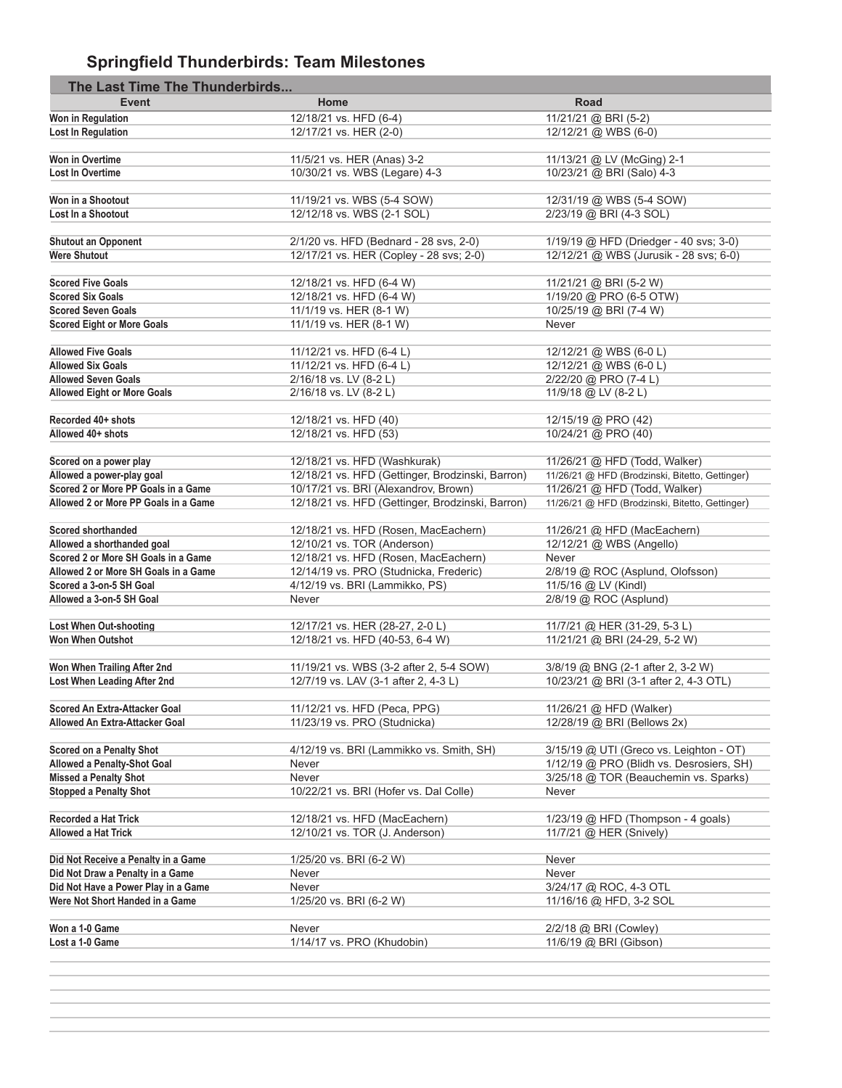# **Springfield Thunderbirds: Team Milestones**

| The Last Time The Thunderbirds       |                                                  |                                                 |
|--------------------------------------|--------------------------------------------------|-------------------------------------------------|
| <b>Event</b>                         | Home                                             | Road                                            |
| Won in Regulation                    | 12/18/21 vs. HFD (6-4)                           | 11/21/21 @ BRI (5-2)                            |
| Lost In Regulation                   | 12/17/21 vs. HER (2-0)                           | 12/12/21 @ WBS (6-0)                            |
|                                      |                                                  |                                                 |
| Won in Overtime                      | 11/5/21 vs. HER (Anas) 3-2                       | 11/13/21 @ LV (McGing) 2-1                      |
| <b>Lost In Overtime</b>              | 10/30/21 vs. WBS (Legare) 4-3                    | 10/23/21 @ BRI (Salo) 4-3                       |
|                                      |                                                  |                                                 |
| Won in a Shootout                    | 11/19/21 vs. WBS (5-4 SOW)                       | 12/31/19 @ WBS (5-4 SOW)                        |
| Lost In a Shootout                   | 12/12/18 vs. WBS (2-1 SOL)                       | 2/23/19 @ BRI (4-3 SOL)                         |
|                                      |                                                  |                                                 |
| <b>Shutout an Opponent</b>           | 2/1/20 vs. HFD (Bednard - 28 svs, 2-0)           | 1/19/19 @ HFD (Driedger - 40 svs; 3-0)          |
| <b>Were Shutout</b>                  | 12/17/21 vs. HER (Copley - 28 svs; 2-0)          | 12/12/21 @ WBS (Jurusik - 28 svs; 6-0)          |
|                                      |                                                  |                                                 |
| <b>Scored Five Goals</b>             | 12/18/21 vs. HFD (6-4 W)                         | 11/21/21 @ BRI (5-2 W)                          |
| <b>Scored Six Goals</b>              | 12/18/21 vs. HFD (6-4 W)                         | 1/19/20 @ PRO (6-5 OTW)                         |
| <b>Scored Seven Goals</b>            | 11/1/19 vs. HER (8-1 W)                          | 10/25/19 @ BRI (7-4 W)                          |
| <b>Scored Eight or More Goals</b>    | 11/1/19 vs. HER (8-1 W)                          | Never                                           |
|                                      |                                                  |                                                 |
| <b>Allowed Five Goals</b>            | 11/12/21 vs. HFD (6-4 L)                         | 12/12/21 @ WBS (6-0 L)                          |
| <b>Allowed Six Goals</b>             | 11/12/21 vs. HFD (6-4 L)                         | 12/12/21 @ WBS (6-0 L)                          |
| <b>Allowed Seven Goals</b>           | 2/16/18 vs. LV (8-2 L)                           | 2/22/20 @ PRO (7-4 L)                           |
| <b>Allowed Eight or More Goals</b>   | 2/16/18 vs. LV (8-2 L)                           | 11/9/18 @ LV (8-2 L)                            |
|                                      |                                                  |                                                 |
| Recorded 40+ shots                   | 12/18/21 vs. HFD (40)                            | 12/15/19 @ PRO (42)                             |
| Allowed 40+ shots                    | 12/18/21 vs. HFD (53)                            | 10/24/21 @ PRO (40)                             |
|                                      |                                                  |                                                 |
| Scored on a power play               | 12/18/21 vs. HFD (Washkurak)                     | 11/26/21 @ HFD (Todd, Walker)                   |
| Allowed a power-play goal            | 12/18/21 vs. HFD (Gettinger, Brodzinski, Barron) | 11/26/21 @ HFD (Brodzinski, Bitetto, Gettinger) |
| Scored 2 or More PP Goals in a Game  | 10/17/21 vs. BRI (Alexandrov, Brown)             | 11/26/21 @ HFD (Todd, Walker)                   |
| Allowed 2 or More PP Goals in a Game | 12/18/21 vs. HFD (Gettinger, Brodzinski, Barron) | 11/26/21 @ HFD (Brodzinski, Bitetto, Gettinger) |
|                                      |                                                  |                                                 |
| <b>Scored shorthanded</b>            | 12/18/21 vs. HFD (Rosen, MacEachern)             | 11/26/21 @ HFD (MacEachern)                     |
| Allowed a shorthanded goal           | 12/10/21 vs. TOR (Anderson)                      | 12/12/21 @ WBS (Angello)                        |
| Scored 2 or More SH Goals in a Game  | 12/18/21 vs. HFD (Rosen, MacEachern)             | Never                                           |
| Allowed 2 or More SH Goals in a Game | 12/14/19 vs. PRO (Studnicka, Frederic)           | 2/8/19 @ ROC (Asplund, Olofsson)                |
| Scored a 3-on-5 SH Goal              | 4/12/19 vs. BRI (Lammikko, PS)                   | 11/5/16 @ LV (Kindl)                            |
| Allowed a 3-on-5 SH Goal             | Never                                            | 2/8/19 @ ROC (Asplund)                          |
|                                      |                                                  |                                                 |
| Lost When Out-shooting               | 12/17/21 vs. HER (28-27, 2-0 L)                  | 11/7/21 @ HER (31-29, 5-3 L)                    |
| <b>Won When Outshot</b>              | 12/18/21 vs. HFD (40-53, 6-4 W)                  | 11/21/21 @ BRI (24-29, 5-2 W)                   |
|                                      |                                                  |                                                 |
| Won When Trailing After 2nd          | 11/19/21 vs. WBS (3-2 after 2, 5-4 SOW)          | 3/8/19 @ BNG (2-1 after 2, 3-2 W)               |
| Lost When Leading After 2nd          | 12/7/19 vs. LAV (3-1 after 2, 4-3 L)             | 10/23/21 @ BRI (3-1 after 2, 4-3 OTL)           |
|                                      |                                                  |                                                 |
| Scored An Extra-Attacker Goal        | 11/12/21 vs. HFD (Peca, PPG)                     | 11/26/21 @ HFD (Walker)                         |
| Allowed An Extra-Attacker Goal       | 11/23/19 vs. PRO (Studnicka)                     | 12/28/19 @ BRI (Bellows 2x)                     |
|                                      |                                                  |                                                 |
| Scored on a Penalty Shot             | 4/12/19 vs. BRI (Lammikko vs. Smith, SH)         | 3/15/19 @ UTI (Greco vs. Leighton - OT)         |
| Allowed a Penalty-Shot Goal          | Never                                            | 1/12/19 @ PRO (Blidh vs. Desrosiers, SH)        |
| <b>Missed a Penalty Shot</b>         | Never                                            | 3/25/18 @ TOR (Beauchemin vs. Sparks)           |
| <b>Stopped a Penalty Shot</b>        | 10/22/21 vs. BRI (Hofer vs. Dal Colle)           | Never                                           |
|                                      |                                                  |                                                 |
| Recorded a Hat Trick                 | 12/18/21 vs. HFD (MacEachern)                    | 1/23/19 @ HFD (Thompson - 4 goals)              |
| Allowed a Hat Trick                  | 12/10/21 vs. TOR (J. Anderson)                   | 11/7/21 @ HER (Snively)                         |
|                                      |                                                  |                                                 |
| Did Not Receive a Penalty in a Game  | 1/25/20 vs. BRI (6-2 W)                          | Never                                           |
| Did Not Draw a Penalty in a Game     | Never                                            | Never                                           |
| Did Not Have a Power Play in a Game  | Never                                            | 3/24/17 @ ROC, 4-3 OTL                          |
| Were Not Short Handed in a Game      | 1/25/20 vs. BRI (6-2 W)                          | 11/16/16 @ HFD, 3-2 SOL                         |
|                                      |                                                  |                                                 |
| Won a 1-0 Game                       | Never                                            | 2/2/18 @ BRI (Cowley)                           |
| Lost a 1-0 Game                      | 1/14/17 vs. PRO (Khudobin)                       | 11/6/19 @ BRI (Gibson)                          |
|                                      |                                                  |                                                 |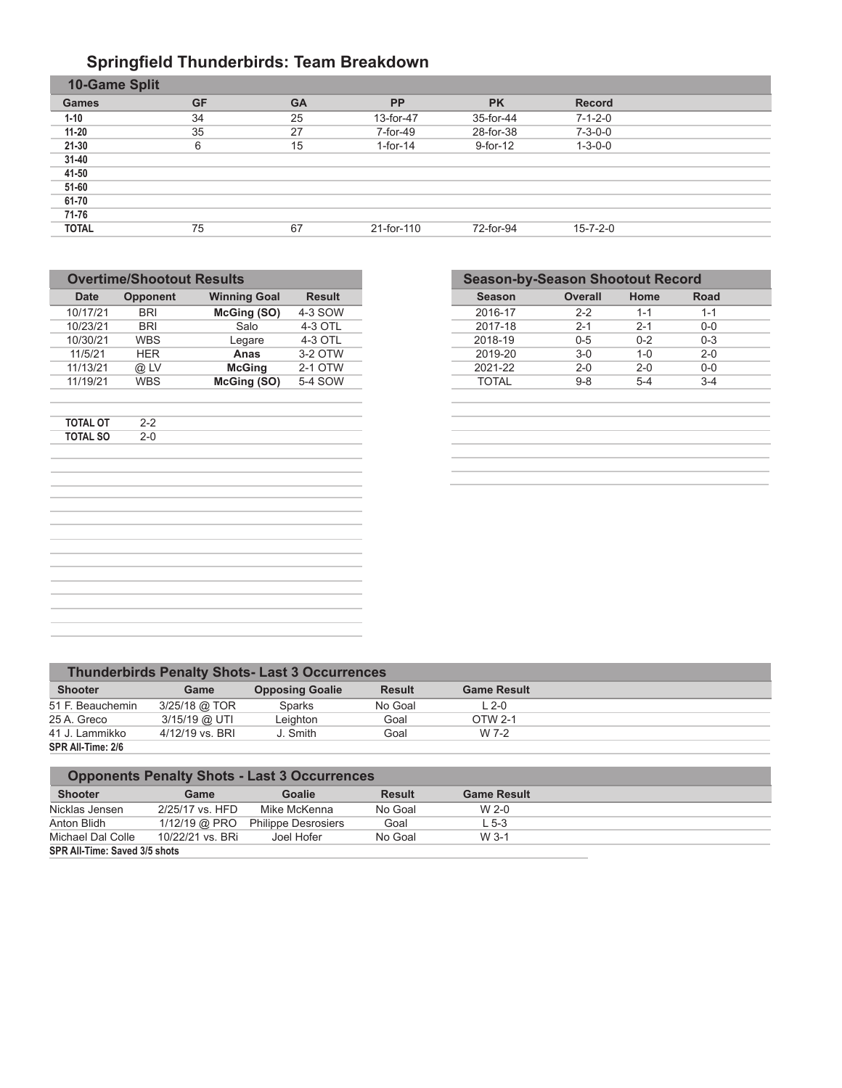#### **Springfield Thunderbirds: Team Breakdown**

| 10-Game Split |           |           |             |           |                  |  |
|---------------|-----------|-----------|-------------|-----------|------------------|--|
| <b>Games</b>  | <b>GF</b> | <b>GA</b> | <b>PP</b>   | <b>PK</b> | <b>Record</b>    |  |
| $1 - 10$      | 34        | 25        | 13-for-47   | 35-for-44 | $7 - 1 - 2 - 0$  |  |
| $11 - 20$     | 35        | 27        | 7-for-49    | 28-for-38 | $7 - 3 - 0 - 0$  |  |
| $21 - 30$     | 6         | 15        | $1$ -for-14 | 9-for-12  | $1 - 3 - 0 - 0$  |  |
| $31 - 40$     |           |           |             |           |                  |  |
| 41-50         |           |           |             |           |                  |  |
| 51-60         |           |           |             |           |                  |  |
| 61-70         |           |           |             |           |                  |  |
| 71-76         |           |           |             |           |                  |  |
| <b>TOTAL</b>  | 75        | 67        | 21-for-110  | 72-for-94 | $15 - 7 - 2 - 0$ |  |
|               |           |           |             |           |                  |  |

| Opponent   | <b>Winning Goal</b> | <b>Result</b> |
|------------|---------------------|---------------|
| <b>BRI</b> | McGing (SO)         | 4-3 SOW       |
| <b>BRI</b> | Salo                | 4-3 OTL       |
| <b>WBS</b> | Legare              | 4-3 OTL       |
| <b>HER</b> | Anas                | 3-2 OTW       |
| @ LV       | <b>McGing</b>       | 2-1 OTW       |
| <b>WBS</b> | McGing (SO)         | 5-4 SOW       |
|            |                     |               |
| $2 - 0$    |                     |               |
|            |                     |               |
|            |                     |               |
|            |                     |               |
|            |                     |               |
|            |                     |               |
|            |                     |               |
|            |                     |               |
|            | $2 - 2$             |               |

| <b>Season-by-Season Shootout Record</b> |                |              |         |  |
|-----------------------------------------|----------------|--------------|---------|--|
| <b>Season</b>                           | <b>Overall</b> | Home         | Road    |  |
| 2016-17                                 | $2 - 2$        | $1 - 1$      | $1 - 1$ |  |
| 2017-18                                 | $2 - 1$        | $2 - 1$      | $0 - 0$ |  |
| 2018-19                                 | $0 - 5$        | $0 - 2$      | $0 - 3$ |  |
| 2019-20                                 | $3-0$          | $1 - \Omega$ | $2 - 0$ |  |
| 2021-22                                 | $2 - 0$        | $2 - 0$      | $0 - 0$ |  |
| <b>TOTAL</b>                            | $9 - 8$        | $5 - 4$      | $3 - 4$ |  |
|                                         |                |              |         |  |
|                                         |                |              |         |  |
|                                         |                |              |         |  |
|                                         |                |              |         |  |
|                                         |                |              |         |  |
|                                         |                |              |         |  |

|                   |                 | <b>Thunderbirds Penalty Shots-Last 3 Occurrences</b> |               |                    |  |
|-------------------|-----------------|------------------------------------------------------|---------------|--------------------|--|
| <b>Shooter</b>    | Game            | <b>Opposing Goalie</b>                               | <b>Result</b> | <b>Game Result</b> |  |
| 51 F. Beauchemin  | 3/25/18 @ TOR   | <b>Sparks</b>                                        | No Goal       | $L$ 2-0            |  |
| 25 A. Greco       | 3/15/19 @ UTI   | Leighton                                             | Goal          | OTW 2-1            |  |
| 41 J. Lammikko    | 4/12/19 vs. BRI | J. Smith                                             | Goal          | W 7-2              |  |
| SPR All-Time: 2/6 |                 |                                                      |               |                    |  |

|                               |                  | <b>Opponents Penalty Shots - Last 3 Occurrences</b> |               |                    |
|-------------------------------|------------------|-----------------------------------------------------|---------------|--------------------|
| <b>Shooter</b>                | Game             | Goalie                                              | <b>Result</b> | <b>Game Result</b> |
| Nicklas Jensen                | 2/25/17 vs. HFD  | Mike McKenna                                        | No Goal       | $W$ 2-0            |
| Anton Blidh                   | 1/12/19 @ PRO    | <b>Philippe Desrosiers</b>                          | Goal          | $L$ 5-3            |
| Michael Dal Colle             | 10/22/21 vs. BRi | Joel Hofer                                          | No Goal       | $W$ 3-1            |
| SPR All-Time: Saved 3/5 shots |                  |                                                     |               |                    |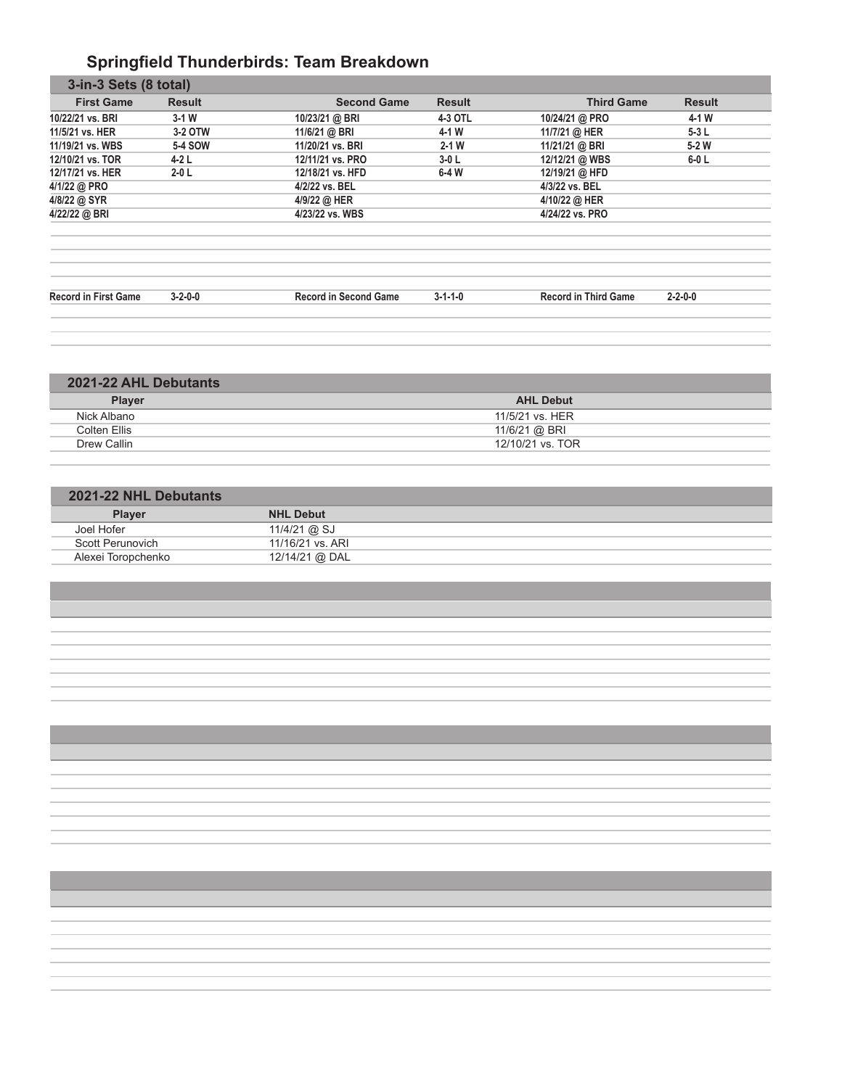# **Springfield Thunderbirds: Team Breakdown**

| $3-1$ W<br>3-2 OTW<br>5-4 SOW<br>$4-2L$<br>$2-0$ L | 10/23/21 @ BRI<br>11/6/21 @ BRI<br>11/20/21 vs. BRI<br>12/11/21 vs. PRO | 4-3 OTL<br>4-1 W<br>$2 - 1$ W | 10/24/21 @ PRO<br>11/7/21 @ HER<br>11/21/21 @ BRI | 4-1 W<br>$5-3L$<br>$5-2W$   |
|----------------------------------------------------|-------------------------------------------------------------------------|-------------------------------|---------------------------------------------------|-----------------------------|
|                                                    |                                                                         |                               |                                                   |                             |
|                                                    |                                                                         |                               |                                                   |                             |
|                                                    |                                                                         |                               |                                                   |                             |
|                                                    |                                                                         | $3-0L$                        | 12/12/21 @ WBS                                    | $6-0$ L                     |
|                                                    | 12/18/21 vs. HFD                                                        | $6-4W$                        | 12/19/21 @ HFD                                    |                             |
|                                                    | 4/2/22 vs. BEL                                                          |                               | 4/3/22 vs. BEL                                    |                             |
|                                                    | 4/9/22 @ HER                                                            |                               | 4/10/22 @ HER                                     |                             |
|                                                    | 4/23/22 vs. WBS                                                         |                               | 4/24/22 vs. PRO                                   |                             |
|                                                    |                                                                         |                               |                                                   |                             |
|                                                    |                                                                         |                               |                                                   | $2 - 2 - 0 - 0$             |
|                                                    | $3 - 2 - 0 - 0$                                                         | <b>Record in Second Game</b>  | $3 - 1 - 1 - 0$                                   | <b>Record in Third Game</b> |

| 2021-22 AHL Debutants |                  |
|-----------------------|------------------|
| <b>Player</b>         | <b>AHL Debut</b> |
| Nick Albano           | 11/5/21 vs. HER  |
| Colten Ellis          | 11/6/21 @ BRI    |
| Drew Callin           | 12/10/21 vs. TOR |
|                       |                  |

| 2021-22 NHL Debutants |                  |  |
|-----------------------|------------------|--|
| <b>Player</b>         | <b>NHL Debut</b> |  |
| Joel Hofer            | 11/4/21 @ SJ     |  |
| Scott Perunovich      | 11/16/21 vs. ARI |  |
| Alexei Toropchenko    | 12/14/21 @ DAL   |  |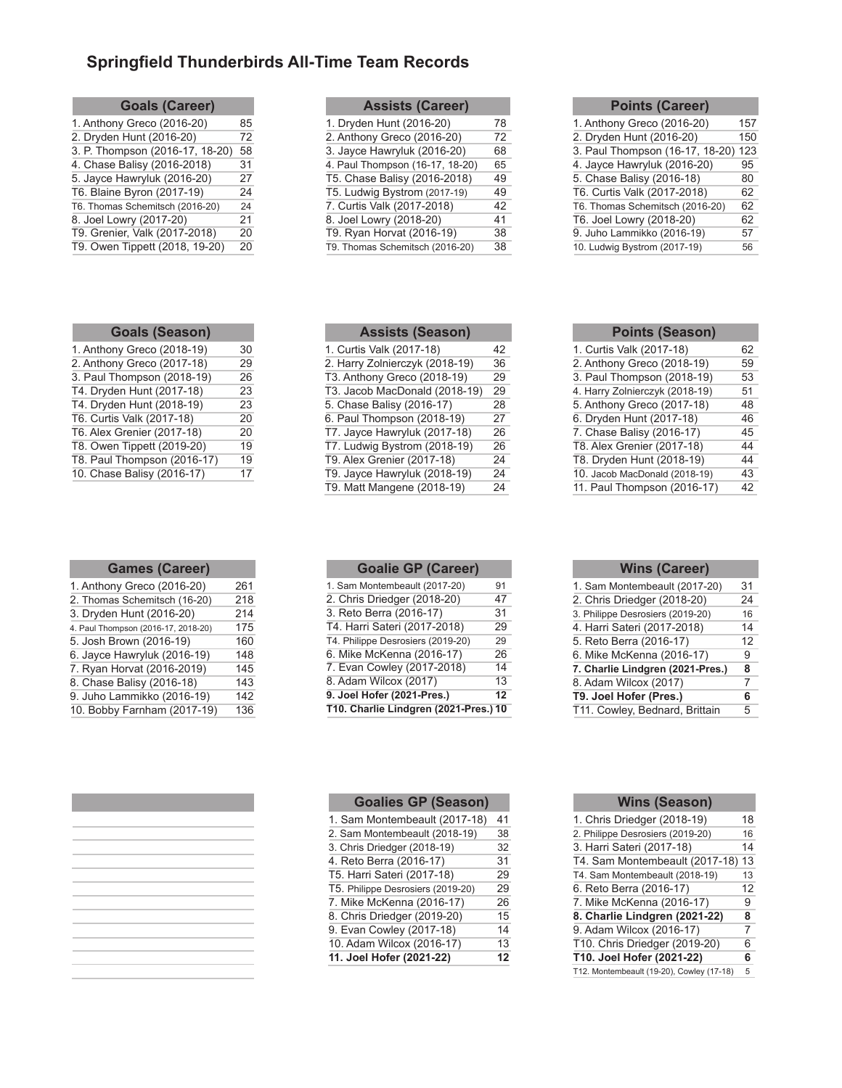# **Springfield Thunderbirds All-Time Team Records**

| <b>Goals (Career)</b>           |    |
|---------------------------------|----|
| 1. Anthony Greco (2016-20)      | 85 |
| 2. Dryden Hunt (2016-20)        | 72 |
| 3. P. Thompson (2016-17, 18-20) | 58 |
| 4. Chase Balisy (2016-2018)     | 31 |
| 5. Jayce Hawryluk (2016-20)     | 27 |
| T6. Blaine Byron (2017-19)      | 24 |
| T6. Thomas Schemitsch (2016-20) | 24 |
| 8. Joel Lowry (2017-20)         | 21 |
| T9. Grenier, Valk (2017-2018)   | 20 |
| T9. Owen Tippett (2018, 19-20)  | 20 |
|                                 |    |

| <b>Assists (Career)</b>         |    |
|---------------------------------|----|
| 1. Dryden Hunt (2016-20)        | 78 |
| 2. Anthony Greco (2016-20)      | 72 |
| 3. Jayce Hawryluk (2016-20)     | 68 |
| 4. Paul Thompson (16-17, 18-20) | 65 |
| T5. Chase Balisy (2016-2018)    | 49 |
| T5. Ludwig Bystrom (2017-19)    | 49 |
| 7. Curtis Valk (2017-2018)      | 42 |
| 8. Joel Lowry (2018-20)         | 41 |
| T9. Ryan Horvat (2016-19)       | 38 |
| T9. Thomas Schemitsch (2016-20) | 38 |
|                                 |    |

| <b>Points (Career)</b>          |     |
|---------------------------------|-----|
|                                 |     |
| 1. Anthony Greco (2016-20)      | 157 |
| 2. Dryden Hunt (2016-20)        | 150 |
| 3. Paul Thompson (16-17, 18-20) | 123 |
| 4. Jayce Hawryluk (2016-20)     | 95  |
| 5. Chase Balisy (2016-18)       | 80  |
| T6. Curtis Valk (2017-2018)     | 62  |
| T6. Thomas Schemitsch (2016-20) | 62  |
| T6. Joel Lowry (2018-20)        | 62  |
| 9. Juho Lammikko (2016-19)      | 57  |
| 10. Ludwig Bystrom (2017-19)    | 56  |

| <b>Goals (Season)</b>       |    |
|-----------------------------|----|
| 1. Anthony Greco (2018-19)  | 30 |
| 2. Anthony Greco (2017-18)  | 29 |
| 3. Paul Thompson (2018-19)  | 26 |
| T4. Dryden Hunt (2017-18)   | 23 |
| T4. Dryden Hunt (2018-19)   | 23 |
| T6. Curtis Valk (2017-18)   | 20 |
| T6. Alex Grenier (2017-18)  | 20 |
| T8. Owen Tippett (2019-20)  | 19 |
| T8. Paul Thompson (2016-17) | 19 |
| 10. Chase Balisy (2016-17)  | 17 |

| <b>Games (Career)</b>               |     |
|-------------------------------------|-----|
| 1. Anthony Greco (2016-20)          | 261 |
| 2. Thomas Schemitsch (16-20)        | 218 |
| 3. Dryden Hunt (2016-20)            | 214 |
| 4. Paul Thompson (2016-17, 2018-20) | 175 |
| 5. Josh Brown (2016-19)             | 160 |
| 6. Jayce Hawryluk (2016-19)         | 148 |
| 7. Ryan Horvat (2016-2019)          | 145 |
| 8. Chase Balisy (2016-18)           | 143 |
| 9. Juho Lammikko (2016-19)          | 142 |
| 10. Bobby Farnham (2017-19)         | 136 |

| <b>Assists (Season)</b>        |    |
|--------------------------------|----|
| 1. Curtis Valk (2017-18)       | 42 |
| 2. Harry Zolnierczyk (2018-19) | 36 |
| T3. Anthony Greco (2018-19)    | 29 |
| T3. Jacob MacDonald (2018-19)  | 29 |
| 5. Chase Balisy (2016-17)      | 28 |
| 6. Paul Thompson (2018-19)     | 27 |
| T7. Jayce Hawryluk (2017-18)   | 26 |
| T7. Ludwig Bystrom (2018-19)   | 26 |
| T9. Alex Grenier (2017-18)     | 24 |
| T9. Jayce Hawryluk (2018-19)   | 24 |
| T9. Matt Mangene (2018-19)     | 24 |

| <b>Goalie GP (Career)</b>             |    |  |  |  |  |  |
|---------------------------------------|----|--|--|--|--|--|
| 1. Sam Montembeault (2017-20)         | 91 |  |  |  |  |  |
| 2. Chris Driedger (2018-20)           | 47 |  |  |  |  |  |
| 3. Reto Berra (2016-17)               | 31 |  |  |  |  |  |
| T4. Harri Sateri (2017-2018)          | 29 |  |  |  |  |  |
| T4. Philippe Desrosiers (2019-20)     | 29 |  |  |  |  |  |
| 6. Mike McKenna (2016-17)             | 26 |  |  |  |  |  |
| 7. Evan Cowley (2017-2018)            | 14 |  |  |  |  |  |
| 8. Adam Wilcox (2017)                 | 13 |  |  |  |  |  |
| 9. Joel Hofer (2021-Pres.)<br>12      |    |  |  |  |  |  |
| T10. Charlie Lindgren (2021-Pres.) 10 |    |  |  |  |  |  |

| <b>Goalies GP (Season)</b>        |    |  |  |  |  |  |  |
|-----------------------------------|----|--|--|--|--|--|--|
| 1. Sam Montembeault (2017-18)     | 41 |  |  |  |  |  |  |
| 2. Sam Montembeault (2018-19)     |    |  |  |  |  |  |  |
| 3. Chris Driedger (2018-19)       | 32 |  |  |  |  |  |  |
| 4. Reto Berra (2016-17)           | 31 |  |  |  |  |  |  |
| T5. Harri Sateri (2017-18)        | 29 |  |  |  |  |  |  |
| T5. Philippe Desrosiers (2019-20) | 29 |  |  |  |  |  |  |
| 7. Mike McKenna (2016-17)         | 26 |  |  |  |  |  |  |
| 8. Chris Driedger (2019-20)       | 15 |  |  |  |  |  |  |
| 9. Evan Cowley (2017-18)          | 14 |  |  |  |  |  |  |
| 10. Adam Wilcox (2016-17)         | 13 |  |  |  |  |  |  |
| 11. Joel Hofer (2021-22)          | 12 |  |  |  |  |  |  |

| <b>Points (Season)</b>         |    |
|--------------------------------|----|
| 1. Curtis Valk (2017-18)       | 62 |
| 2. Anthony Greco (2018-19)     | 59 |
| 3. Paul Thompson (2018-19)     | 53 |
| 4. Harry Zolnierczyk (2018-19) | 51 |
| 5. Anthony Greco (2017-18)     | 48 |
| 6. Dryden Hunt (2017-18)       | 46 |
| 7. Chase Balisy (2016-17)      | 45 |
| T8. Alex Grenier (2017-18)     | 44 |
| T8. Dryden Hunt (2018-19)      | 44 |
| 10. Jacob MacDonald (2018-19)  | 43 |
| 11. Paul Thompson (2016-17)    | 42 |

| 31             |
|----------------|
| 24             |
| 16             |
| 14             |
| 12             |
| 9              |
| 8              |
| $\overline{7}$ |
| 6              |
| 5              |
|                |

| <b>Wins (Season)</b>                      |    |  |  |  |  |
|-------------------------------------------|----|--|--|--|--|
| 1. Chris Driedger (2018-19)               | 18 |  |  |  |  |
| 2. Philippe Desrosiers (2019-20)          | 16 |  |  |  |  |
| 3. Harri Sateri (2017-18)                 | 14 |  |  |  |  |
| T4. Sam Montembeault (2017-18)            | 13 |  |  |  |  |
| T4. Sam Montembeault (2018-19)            | 13 |  |  |  |  |
| 6. Reto Berra (2016-17)                   | 12 |  |  |  |  |
| 7. Mike McKenna (2016-17)                 | 9  |  |  |  |  |
| 8. Charlie Lindgren (2021-22)             | 8  |  |  |  |  |
| 9. Adam Wilcox (2016-17)                  | 7  |  |  |  |  |
| T10. Chris Driedger (2019-20)             | 6  |  |  |  |  |
| T10. Joel Hofer (2021-22)                 |    |  |  |  |  |
| T12. Montembeault (19-20), Cowley (17-18) | 5  |  |  |  |  |
|                                           |    |  |  |  |  |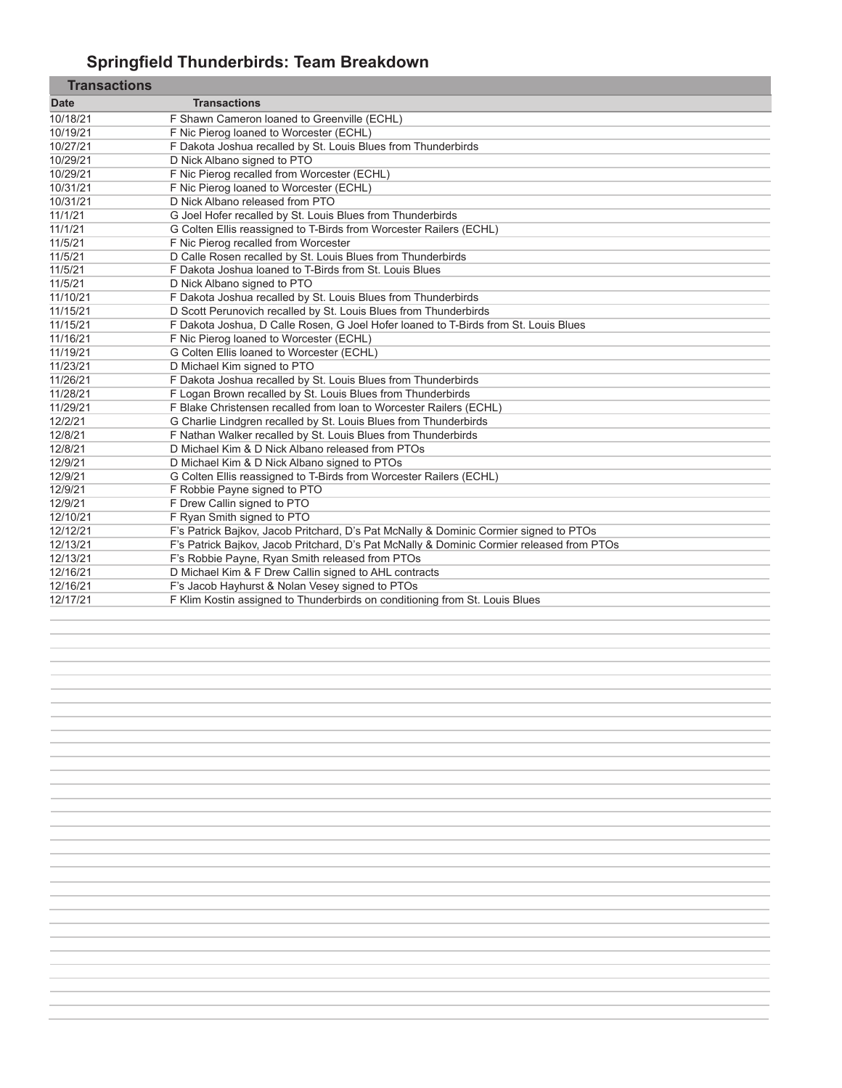# **Springfield Thunderbirds: Team Breakdown**

п

| <b>Transactions</b>                                                                       |
|-------------------------------------------------------------------------------------------|
| F Shawn Cameron loaned to Greenville (ECHL)                                               |
| F Nic Pierog loaned to Worcester (ECHL)                                                   |
| F Dakota Joshua recalled by St. Louis Blues from Thunderbirds                             |
| D Nick Albano signed to PTO                                                               |
| F Nic Pierog recalled from Worcester (ECHL)                                               |
| F Nic Pierog loaned to Worcester (ECHL)                                                   |
| D Nick Albano released from PTO                                                           |
| G Joel Hofer recalled by St. Louis Blues from Thunderbirds                                |
| G Colten Ellis reassigned to T-Birds from Worcester Railers (ECHL)                        |
| F Nic Pierog recalled from Worcester                                                      |
| D Calle Rosen recalled by St. Louis Blues from Thunderbirds                               |
| F Dakota Joshua loaned to T-Birds from St. Louis Blues                                    |
| D Nick Albano signed to PTO                                                               |
| F Dakota Joshua recalled by St. Louis Blues from Thunderbirds                             |
| D Scott Perunovich recalled by St. Louis Blues from Thunderbirds                          |
| F Dakota Joshua, D Calle Rosen, G Joel Hofer loaned to T-Birds from St. Louis Blues       |
| F Nic Pierog loaned to Worcester (ECHL)                                                   |
| G Colten Ellis loaned to Worcester (ECHL)                                                 |
| D Michael Kim signed to PTO                                                               |
| F Dakota Joshua recalled by St. Louis Blues from Thunderbirds                             |
| F Logan Brown recalled by St. Louis Blues from Thunderbirds                               |
| F Blake Christensen recalled from loan to Worcester Railers (ECHL)                        |
| G Charlie Lindgren recalled by St. Louis Blues from Thunderbirds                          |
| F Nathan Walker recalled by St. Louis Blues from Thunderbirds                             |
| D Michael Kim & D Nick Albano released from PTOs                                          |
| D Michael Kim & D Nick Albano signed to PTOs                                              |
| G Colten Ellis reassigned to T-Birds from Worcester Railers (ECHL)                        |
| F Robbie Payne signed to PTO                                                              |
| F Drew Callin signed to PTO                                                               |
| F Ryan Smith signed to PTO                                                                |
| F's Patrick Bajkov, Jacob Pritchard, D's Pat McNally & Dominic Cormier signed to PTOs     |
| F's Patrick Bajkov, Jacob Pritchard, D's Pat McNally & Dominic Cormier released from PTOs |
| F's Robbie Payne, Ryan Smith released from PTOs                                           |
| D Michael Kim & F Drew Callin signed to AHL contracts                                     |
| F's Jacob Hayhurst & Nolan Vesey signed to PTOs                                           |
| F Klim Kostin assigned to Thunderbirds on conditioning from St. Louis Blues               |
|                                                                                           |